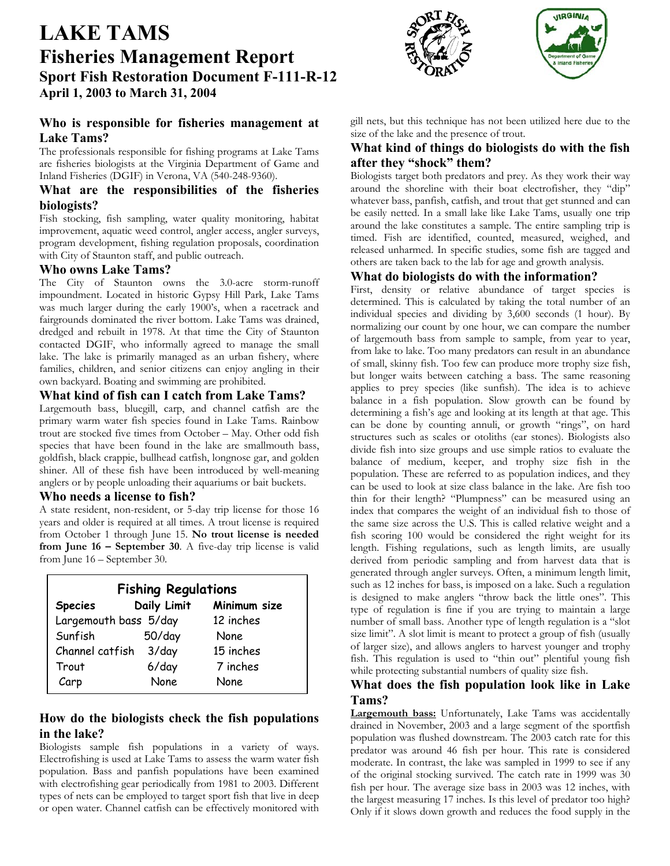# **LAKE TAMS Fisheries Management Report Sport Fish Restoration Document F-111-R-12 April 1, 2003 to March 31, 2004**

# **Who is responsible for fisheries management at Lake Tams?**

The professionals responsible for fishing programs at Lake Tams are fisheries biologists at the Virginia Department of Game and Inland Fisheries (DGIF) in Verona, VA (540-248-9360).

## **What are the responsibilities of the fisheries biologists?**

Fish stocking, fish sampling, water quality monitoring, habitat improvement, aquatic weed control, angler access, angler surveys, program development, fishing regulation proposals, coordination with City of Staunton staff, and public outreach.

## **Who owns Lake Tams?**

The City of Staunton owns the 3.0-acre storm-runoff impoundment. Located in historic Gypsy Hill Park, Lake Tams was much larger during the early 1900's, when a racetrack and fairgrounds dominated the river bottom. Lake Tams was drained, dredged and rebuilt in 1978. At that time the City of Staunton contacted DGIF, who informally agreed to manage the small lake. The lake is primarily managed as an urban fishery, where families, children, and senior citizens can enjoy angling in their own backyard. Boating and swimming are prohibited.

#### **What kind of fish can I catch from Lake Tams?**

Largemouth bass, bluegill, carp, and channel catfish are the primary warm water fish species found in Lake Tams. Rainbow trout are stocked five times from October – May. Other odd fish species that have been found in the lake are smallmouth bass, goldfish, black crappie, bullhead catfish, longnose gar, and golden shiner. All of these fish have been introduced by well-meaning anglers or by people unloading their aquariums or bait buckets.

#### **Who needs a license to fish?**

A state resident, non-resident, or 5-day trip license for those 16 years and older is required at all times. A trout license is required from October 1 through June 15. **No trout license is needed from June 16 – September 30**. A five-day trip license is valid from June 16 – September 30.

| <b>Fishing Regulations</b> |             |              |
|----------------------------|-------------|--------------|
| <b>Species</b>             | Daily Limit | Minimum size |
| Largemouth bass 5/day      |             | 12 inches    |
| Sunfish                    | $50$ /day   | None         |
| Channel catfish            | 3/day       | 15 inches    |
| Trout                      | $6$ /day    | 7 inches     |
| Carp                       | None        | <b>None</b>  |

# **How do the biologists check the fish populations in the lake?**

Biologists sample fish populations in a variety of ways. Electrofishing is used at Lake Tams to assess the warm water fish population. Bass and panfish populations have been examined with electrofishing gear periodically from 1981 to 2003. Different types of nets can be employed to target sport fish that live in deep or open water. Channel catfish can be effectively monitored with





gill nets, but this technique has not been utilized here due to the size of the lake and the presence of trout.

## **What kind of things do biologists do with the fish after they "shock" them?**

Biologists target both predators and prey. As they work their way around the shoreline with their boat electrofisher, they "dip" whatever bass, panfish, catfish, and trout that get stunned and can be easily netted. In a small lake like Lake Tams, usually one trip around the lake constitutes a sample. The entire sampling trip is timed. Fish are identified, counted, measured, weighed, and released unharmed. In specific studies, some fish are tagged and others are taken back to the lab for age and growth analysis.

## **What do biologists do with the information?**

First, density or relative abundance of target species is determined. This is calculated by taking the total number of an individual species and dividing by 3,600 seconds (1 hour). By normalizing our count by one hour, we can compare the number of largemouth bass from sample to sample, from year to year, from lake to lake. Too many predators can result in an abundance of small, skinny fish. Too few can produce more trophy size fish, but longer waits between catching a bass. The same reasoning applies to prey species (like sunfish). The idea is to achieve balance in a fish population. Slow growth can be found by determining a fish's age and looking at its length at that age. This can be done by counting annuli, or growth "rings", on hard structures such as scales or otoliths (ear stones). Biologists also divide fish into size groups and use simple ratios to evaluate the balance of medium, keeper, and trophy size fish in the population. These are referred to as population indices, and they can be used to look at size class balance in the lake. Are fish too thin for their length? "Plumpness" can be measured using an index that compares the weight of an individual fish to those of the same size across the U.S. This is called relative weight and a fish scoring 100 would be considered the right weight for its length. Fishing regulations, such as length limits, are usually derived from periodic sampling and from harvest data that is generated through angler surveys. Often, a minimum length limit, such as 12 inches for bass, is imposed on a lake. Such a regulation is designed to make anglers "throw back the little ones". This type of regulation is fine if you are trying to maintain a large number of small bass. Another type of length regulation is a "slot size limit". A slot limit is meant to protect a group of fish (usually of larger size), and allows anglers to harvest younger and trophy fish. This regulation is used to "thin out" plentiful young fish while protecting substantial numbers of quality size fish.

## **What does the fish population look like in Lake Tams?**

**Largemouth bass:** Unfortunately, Lake Tams was accidentally drained in November, 2003 and a large segment of the sportfish population was flushed downstream. The 2003 catch rate for this predator was around 46 fish per hour. This rate is considered moderate. In contrast, the lake was sampled in 1999 to see if any of the original stocking survived. The catch rate in 1999 was 30 fish per hour. The average size bass in 2003 was 12 inches, with the largest measuring 17 inches. Is this level of predator too high? Only if it slows down growth and reduces the food supply in the